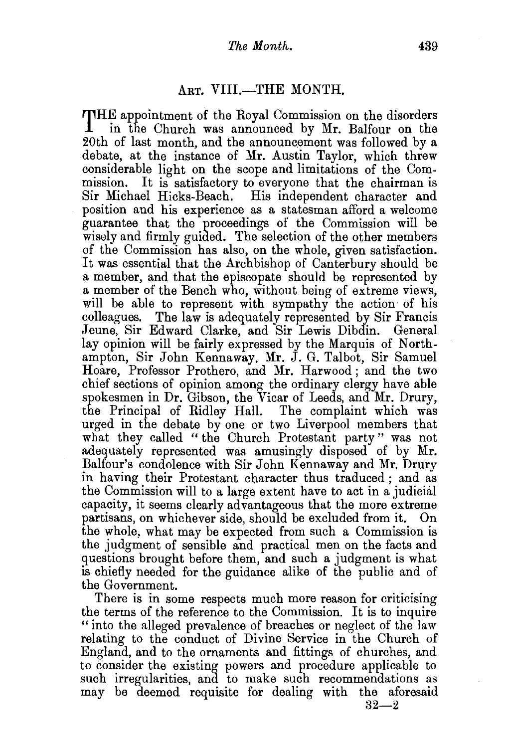## ART. VIII.-THE MONTH.

THE appointment of the Royal Commission on the disorders in the Church was announced by Mr. Balfour on the 20th of last month, and the announcement was followed by a debate, at the instance of Mr. Austin Taylor, which threw considerable light on the scope and limitations of the Commission. It is satisfactory to everyone that the chairman is Sir Michael Hicks-Beach. His independent character and position and his experience as a statesman afford a welcome guarantee that the proceedings of the Commission will be wisely and firmly guided. The selection of the other members of the Commission has also, on the whole, given satisfaction. It was essential that the Archbishop of Canterbury should be a member, and that the episcopate should be represented by a member of the Bench who, without being of extreme views, will be able to represent with sympathy the action of his colleagues. The law is adequately represented by Sir Francis Jeune, Sir Edward Clarke, and Sir Lewis Dibdin. General lay opinion will be fairly expressed by the Marquis of Northampton, Sir John Kennaway, Mr. J. G. Talbot, Sir Samuel Hoare, Professor Prothero, and Mr. Harwood; and the two chief sections of opinion among the ordinary clergy have able spokesmen in Dr. Gibson, the Vicar of Leeds, and Mr. Drury, the Principal of Ridley Hall. The complaint which was urged in the debate by one or two Liverpool members that what they called " the Church Protestant party" was not adequately represented was amusingly disposed of by Mr. Balfour's condolence with Sir John Kennaway and Mr. Drury in having their Protestant character thus traduced; and as the Commission will to a large extent have to act in a judicial capacity, it seems clearly advantageous that the more extreme partisans, on whichever side, should be excluded from it. On the whole, what may be expected from such a Commission is the judgment of sensible and practical men on the facts and questions brought before them, and such a judgment is what is chiefly needed for the guidance alike of the public and of the Government.

There is in some respects much more reason for criticising the terms of the reference to the Commission. It is to inquire "into the alleged prevalence of breaches or neglect of the law relating to the conduct of Divine Service in the Church of England, and to the ornaments and fittings of churches, and to consider the existing powers and procedure applicable to such irregularities, and to make such recommendations as may be deemed requisite for dealing with the aforesaid

 $32 - 2$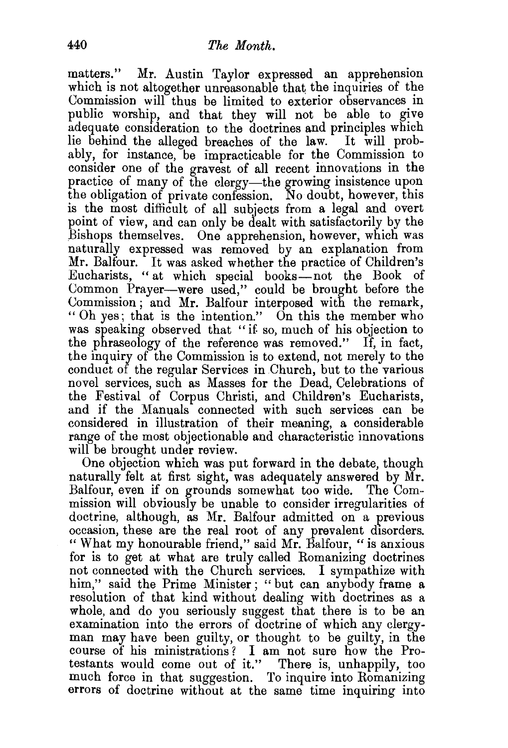matters." Mr. Austin Taylor expressed an apprehension which is not altogether unreasonable that the inquiries of the Commission will thus be limited to exterior observances in public worship, and that they will not be able to give adequate consideration to the doctrines and principles which lie behind the alleged breaches of the law. It will probably, for instance, be impracticable for the Commission to consider one of the gravest of all recent innovations in the practice of many of the clergy—the growing insistence upon the obligation of private confession. No doubt, however, this is the most difficult of all subjects from a legal and overt point of view, and can only be dealt with satisfactorily by the Bishops themselves. One apprehension, however, which was naturally expressed was removed by an explanation from Mr. Balfour. It was asked whether the practice of Children's Eucharists, "at which special books-not the Book of Common Prayer-were used," could be brought before the Commission; and Mr. Balfour interposed with the remark, " Oh yes; that is the intention." On this the member who was speaking observed that "if so, much of his objection to the phraseology of the reference was removed." If, in fact, the inquiry of the Commission is to extend, not merely to the conduct of the regular Services in .Church, but to the various novel services, such as Masses for the Dead, Celebrations of the Festival of Corpus Christi, and Children's Eucharists, and if the Manuals connected with such services can be considered in illustration of their meaning, a considerable range of the most objectionable and characteristic innovations will be brought under review.

One objection which was put forward in the debate, though naturally felt at first sight, was adequately answered by Mr. Balfour, even if on grounds somewhat too wide. The Commission will obviously be unable to consider irregularities of doctrine, although, as Mr. Balfour admitted on a previous occasion, these are the real root of any prevalent disorders. " What my honourable friend," said Mr. Balfour, "is anxious for is to get at what are truly called Romanizing doctrines not connected with the Church services. I sympathize with him," said the Prime Minister; "but can anybody frame a resolution of that kind without dealing with doctrines as a whole, and do you seriously suggest that there is to be an examination into the errors of doctrine of which any clergyman may have been guilty, or thought to be guilty, in the course of his ministrations ? I am not sure how the Protestants would come out of it." There is, unhappily, too much force in that suggestion. To inquire into Romanizing errors of doctrine without at the same time inquiring into